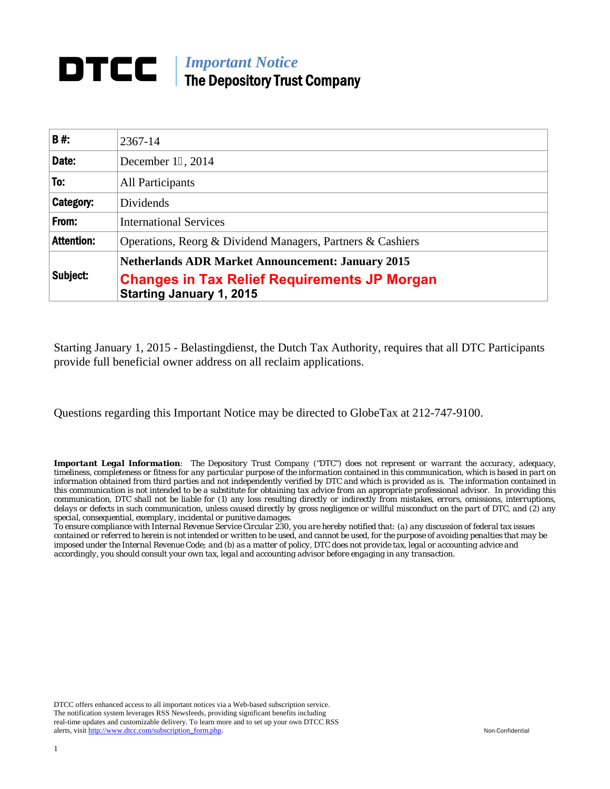## *Important Notice*  The Depository Trust Company

| <b>B#:</b>        | 2367-14                                                                                |
|-------------------|----------------------------------------------------------------------------------------|
| Date:             | December 19, 2014                                                                      |
| To:               | All Participants                                                                       |
| Category:         | Dividends                                                                              |
| From:             | <b>International Services</b>                                                          |
| <b>Attention:</b> | Operations, Reorg & Dividend Managers, Partners & Cashiers                             |
| Subject:          | <b>Netherlands ADR Market Announcement: January 2015</b>                               |
|                   | <b>Changes in Tax Relief Requirements JP Morgan</b><br><b>Starting January 1, 2015</b> |

Starting January 1, 2015 - Belastingdienst, the Dutch Tax Authority, requires that all DTC Participants provide full beneficial owner address on all reclaim applications.

Questions regarding this Important Notice may be directed to GlobeTax at 212-747-9100.

*Important Legal Information: The Depository Trust Company ("DTC") does not represent or warrant the accuracy, adequacy, timeliness, completeness or fitness for any particular purpose of the information contained in this communication, which is based in part on information obtained from third parties and not independently verified by DTC and which is provided as is. The information contained in this communication is not intended to be a substitute for obtaining tax advice from an appropriate professional advisor. In providing this communication, DTC shall not be liable for (1) any loss resulting directly or indirectly from mistakes, errors, omissions, interruptions, delays or defects in such communication, unless caused directly by gross negligence or willful misconduct on the part of DTC, and (2) any special, consequential, exemplary, incidental or punitive damages.* 

*To ensure compliance with Internal Revenue Service Circular 230, you are hereby notified that: (a) any discussion of federal tax issues contained or referred to herein is not intended or written to be used, and cannot be used, for the purpose of avoiding penalties that may be imposed under the Internal Revenue Code; and (b) as a matter of policy, DTC does not provide tax, legal or accounting advice and accordingly, you should consult your own tax, legal and accounting advisor before engaging in any transaction.*

DTCC offers enhanced access to all important notices via a Web-based subscription service. The notification system leverages RSS Newsfeeds, providing significant benefits including real-time updates and customizable delivery. To learn more and to set up your own DTCC RSS alerts, visit http://www.dtcc.com/subscription\_form.php. Non-Confidential